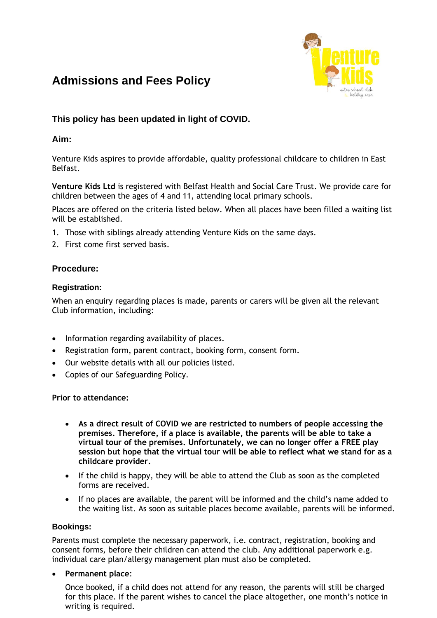

# **Admissions and Fees Policy**

# **This policy has been updated in light of COVID.**

### **Aim:**

Venture Kids aspires to provide affordable, quality professional childcare to children in East Belfast.

**Venture Kids Ltd** is registered with Belfast Health and Social Care Trust. We provide care for children between the ages of 4 and 11, attending local primary schools.

Places are offered on the criteria listed below. When all places have been filled a waiting list will be established.

- 1. Those with siblings already attending Venture Kids on the same days.
- 2. First come first served basis.

## **Procedure:**

#### **Registration:**

When an enquiry regarding places is made, parents or carers will be given all the relevant Club information, including:

- Information regarding availability of places.
- Registration form, parent contract, booking form, consent form.
- Our website details with all our policies listed.
- Copies of our Safeguarding Policy.

#### **Prior to attendance:**

- **As a direct result of COVID we are restricted to numbers of people accessing the premises. Therefore, if a place is available, the parents will be able to take a virtual tour of the premises. Unfortunately, we can no longer offer a FREE play session but hope that the virtual tour will be able to reflect what we stand for as a childcare provider.**
- If the child is happy, they will be able to attend the Club as soon as the completed forms are received.
- If no places are available, the parent will be informed and the child's name added to the waiting list. As soon as suitable places become available, parents will be informed.

#### **Bookings:**

Parents must complete the necessary paperwork, i.e. contract, registration, booking and consent forms, before their children can attend the club. Any additional paperwork e.g. individual care plan/allergy management plan must also be completed.

#### • **Permanent place**:

Once booked, if a child does not attend for any reason, the parents will still be charged for this place. If the parent wishes to cancel the place altogether, one month's notice in writing is required.